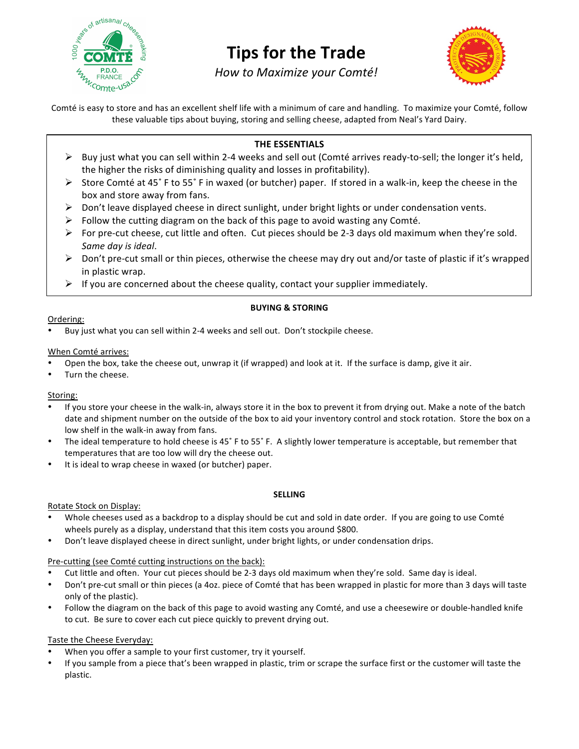

# **Tips for the Trade**

*How to Maximize your Comté!*



Comté is easy to store and has an excellent shelf life with a minimum of care and handling. To maximize your Comté, follow these valuable tips about buying, storing and selling cheese, adapted from Neal's Yard Dairy.

## **THE ESSENTIALS**

- $\triangleright$  Buy just what you can sell within 2-4 weeks and sell out (Comté arrives ready-to-sell; the longer it's held, the higher the risks of diminishing quality and losses in profitability).
- Store Comté at 45˚ F to 55˚ F in waxed (or butcher) paper. If stored in a walk‐in, keep the cheese in the box and store away from fans.
- $\triangleright$  Don't leave displayed cheese in direct sunlight, under bright lights or under condensation vents.
- $\triangleright$  Follow the cutting diagram on the back of this page to avoid wasting any Comté.
- For pre‐cut cheese, cut little and often. Cut pieces should be 2‐3 days old maximum when they're sold. *Same day is ideal*.
- Don't pre‐cut small or thin pieces, otherwise the cheese may dry out and/or taste of plastic if it's wrapped in plastic wrap.
- $\triangleright$  If you are concerned about the cheese quality, contact your supplier immediately.

### **BUYING & STORING**

#### Ordering:

• Buy just what you can sell within 2‐4 weeks and sell out. Don't stockpile cheese.

### When Comté arrives:

- Open the box, take the cheese out, unwrap it (if wrapped) and look at it. If the surface is damp, give it air.
- Turn the cheese.

# Storing:

- If you store your cheese in the walk‐in, always store it in the box to prevent it from drying out. Make a note of the batch date and shipment number on the outside of the box to aid your inventory control and stock rotation. Store the box on a low shelf in the walk‐in away from fans.
- The ideal temperature to hold cheese is 45˚ F to 55˚ F. A slightly lower temperature is acceptable, but remember that temperatures that are too low will dry the cheese out.
- It is ideal to wrap cheese in waxed (or butcher) paper.

#### **SELLING**

Rotate Stock on Display:

- Whole cheeses used as a backdrop to a display should be cut and sold in date order. If you are going to use Comté wheels purely as a display, understand that this item costs you around \$800.
- Don't leave displayed cheese in direct sunlight, under bright lights, or under condensation drips.

# Pre-cutting (see Comté cutting instructions on the back):

- Cut little and often. Your cut pieces should be 2‐3 days old maximum when they're sold. Same day is ideal.
- Don't pre‐cut small or thin pieces (a 4oz. piece of Comté that has been wrapped in plastic for more than 3 days will taste only of the plastic).
- Follow the diagram on the back of this page to avoid wasting any Comté, and use a cheesewire or double-handled knife to cut. Be sure to cover each cut piece quickly to prevent drying out.

# Taste the Cheese Everyday:

- When you offer a sample to your first customer, try it yourself.
- If you sample from a piece that's been wrapped in plastic, trim or scrape the surface first or the customer will taste the plastic.